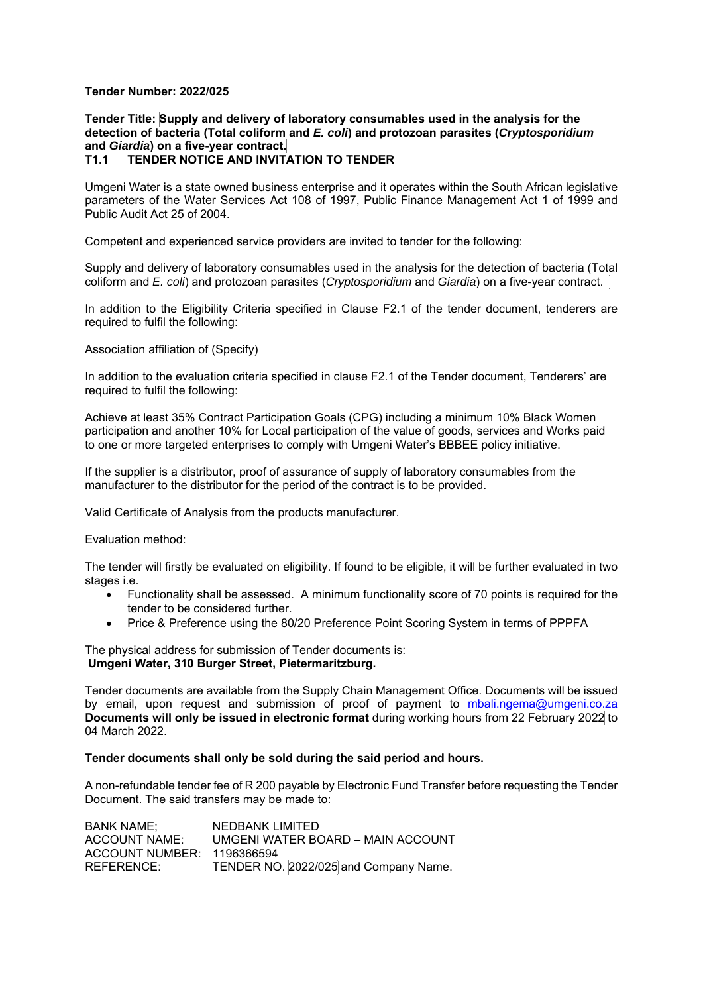# **Tender Number: 2022/025**

# **Tender Title: Supply and delivery of laboratory consumables used in the analysis for the detection of bacteria (Total coliform and** *E. coli***) and protozoan parasites (***Cryptosporidium*  **and** *Giardia***) on a five-year contract.**

# **T1.1 TENDER NOTICE AND INVITATION TO TENDER**

Umgeni Water is a state owned business enterprise and it operates within the South African legislative parameters of the Water Services Act 108 of 1997, Public Finance Management Act 1 of 1999 and Public Audit Act 25 of 2004.

Competent and experienced service providers are invited to tender for the following:

Supply and delivery of laboratory consumables used in the analysis for the detection of bacteria (Total coliform and *E. coli*) and protozoan parasites (*Cryptosporidium* and *Giardia*) on a five-year contract.

In addition to the Eligibility Criteria specified in Clause F2.1 of the tender document, tenderers are required to fulfil the following:

### Association affiliation of (Specify)

In addition to the evaluation criteria specified in clause F2.1 of the Tender document, Tenderers' are required to fulfil the following:

Achieve at least 35% Contract Participation Goals (CPG) including a minimum 10% Black Women participation and another 10% for Local participation of the value of goods, services and Works paid to one or more targeted enterprises to comply with Umgeni Water's BBBEE policy initiative.

If the supplier is a distributor, proof of assurance of supply of laboratory consumables from the manufacturer to the distributor for the period of the contract is to be provided.

Valid Certificate of Analysis from the products manufacturer.

### Evaluation method:

The tender will firstly be evaluated on eligibility. If found to be eligible, it will be further evaluated in two stages i.e.

- Functionality shall be assessed. A minimum functionality score of 70 points is required for the tender to be considered further.
- Price & Preference using the 80/20 Preference Point Scoring System in terms of PPPFA

The physical address for submission of Tender documents is: **Umgeni Water, 310 Burger Street, Pietermaritzburg.** 

Tender documents are available from the Supply Chain Management Office. Documents will be issued by email, upon request and submission of proof of payment to mbali.ngema@umgeni.co.za **Documents will only be issued in electronic format** during working hours from 22 February 2022 to 04 March 2022.

### **Tender documents shall only be sold during the said period and hours.**

A non-refundable tender fee of R 200 payable by Electronic Fund Transfer before requesting the Tender Document. The said transfers may be made to:

| BANK NAME:                 | NEDBANK LIMITED                       |
|----------------------------|---------------------------------------|
| <b>ACCOUNT NAME:</b>       | UMGENI WATER BOARD - MAIN ACCOUNT     |
| ACCOUNT NUMBER: 1196366594 |                                       |
| REFERENCE:                 | TENDER NO. 2022/025 and Company Name. |